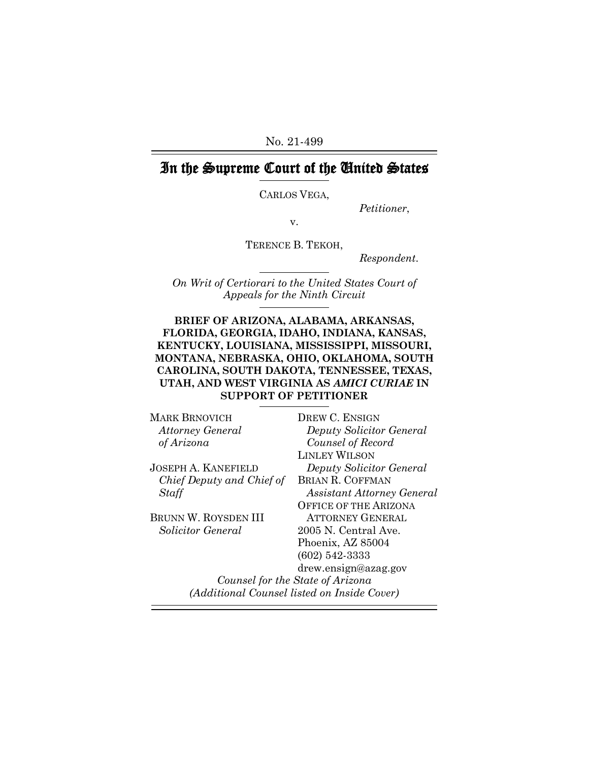No. 21-499

# In the Supreme Court of the United States

CARLOS VEGA,

*Petitioner*,

v.

TERENCE B. TEKOH,

*Respondent*.

*On Writ of Certiorari to the United States Court of Appeals for the Ninth Circuit*

### **BRIEF OF ARIZONA, ALABAMA, ARKANSAS, FLORIDA, GEORGIA, IDAHO, INDIANA, KANSAS, KENTUCKY, LOUISIANA, MISSISSIPPI, MISSOURI, MONTANA, NEBRASKA, OHIO, OKLAHOMA, SOUTH CAROLINA, SOUTH DAKOTA, TENNESSEE, TEXAS, UTAH, AND WEST VIRGINIA AS** *AMICI CURIAE* **IN SUPPORT OF PETITIONER**

| MARK BRNOVICH               | DREW C. ENSIGN                              |
|-----------------------------|---------------------------------------------|
| <b>Attorney General</b>     | Deputy Solicitor General                    |
| of Arizona                  | Counsel of Record                           |
|                             | <b>LINLEY WILSON</b>                        |
| JOSEPH A. KANEFIELD         | Deputy Solicitor General                    |
| Chief Deputy and Chief of   | <b>BRIAN R. COFFMAN</b>                     |
| Staff                       | <b>Assistant Attorney General</b>           |
|                             | <b>OFFICE OF THE ARIZONA</b>                |
| <b>BRUNN W. ROYSDEN III</b> | <b>ATTORNEY GENERAL</b>                     |
| Solicitor General           | 2005 N. Central Ave.                        |
|                             | Phoenix, AZ 85004                           |
|                             | $(602)$ 542-3333                            |
|                             | drew.ensign@azag.gov                        |
|                             | Counsel for the State of Arizona            |
|                             | (Additional Counsel listed on Inside Cover) |
|                             |                                             |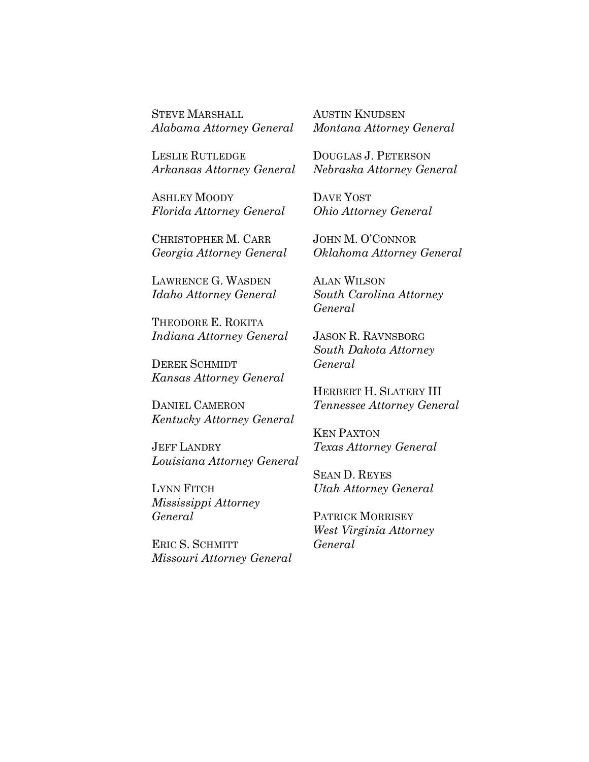STEVE MARSHALL *Alabama Attorney General* AUSTIN KNUDSEN *Montana Attorney General*

LESLIE RUTLEDGE *Arkansas Attorney General*

ASHLEY MOODY *Florida Attorney General*

CHRISTOPHER M. CARR *Georgia Attorney General*

LAWRENCE G. WASDEN *Idaho Attorney General*

THEODORE E. ROKITA *Indiana Attorney General*

DEREK SCHMIDT *Kansas Attorney General*

DANIEL CAMERON *Kentucky Attorney General*

JEFF LANDRY *Louisiana Attorney General*

LYNN FITCH *Mississippi Attorney General*

ERIC S. SCHMITT *Missouri Attorney General* DOUGLAS J. PETERSON *Nebraska Attorney General*

DAVE YOST *Ohio Attorney General*

JOHN M. O'CONNOR *Oklahoma Attorney General*

ALAN WILSON *South Carolina Attorney General*

JASON R. RAVNSBORG *South Dakota Attorney General*

HERBERT H. SLATERY III *Tennessee Attorney General*

KEN PAXTON *Texas Attorney General*

SEAN D. REYES *Utah Attorney General*

PATRICK MORRISEY *West Virginia Attorney General*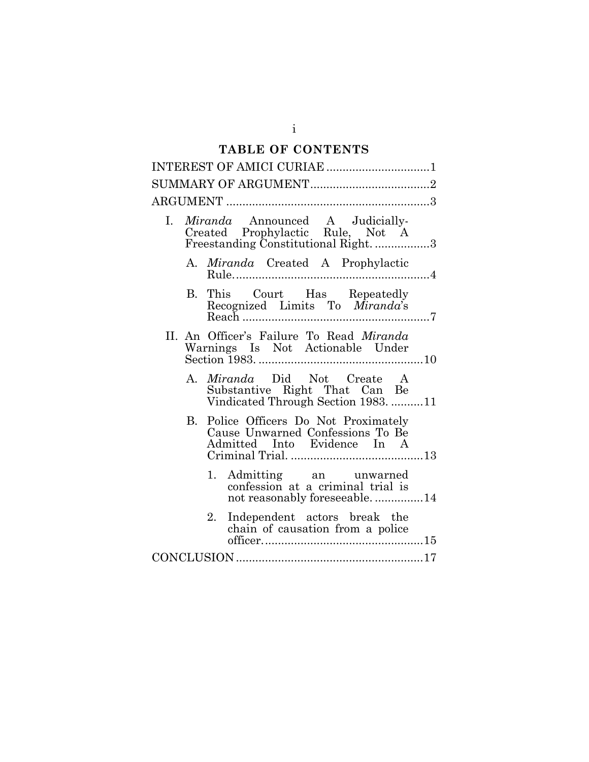# **TABLE OF CONTENTS**

| INTEREST OF AMICI CURIAE 1                                                                                      |  |  |
|-----------------------------------------------------------------------------------------------------------------|--|--|
|                                                                                                                 |  |  |
|                                                                                                                 |  |  |
| Miranda Announced A Judicially-<br>Ι.<br>Created Prophylactic Rule, Not A<br>Freestanding Constitutional Right3 |  |  |
| A. <i>Miranda</i> Created A Prophylactic                                                                        |  |  |
| B. This Court Has Repeatedly<br>Recognized Limits To Miranda's                                                  |  |  |
| II. An Officer's Failure To Read Miranda<br>Warnings Is Not Actionable Under                                    |  |  |
| A. Miranda Did Not Create A<br>Substantive Right That Can Be<br>Vindicated Through Section 1983. 11             |  |  |
| Police Officers Do Not Proximately<br>B.<br>Cause Unwarned Confessions To Be<br>Admitted Into Evidence In A     |  |  |
| 1. Admitting an unwarned<br>confession at a criminal trial is<br>not reasonably foreseeable. 14                 |  |  |
| Independent actors break the<br>2.<br>chain of causation from a police                                          |  |  |
|                                                                                                                 |  |  |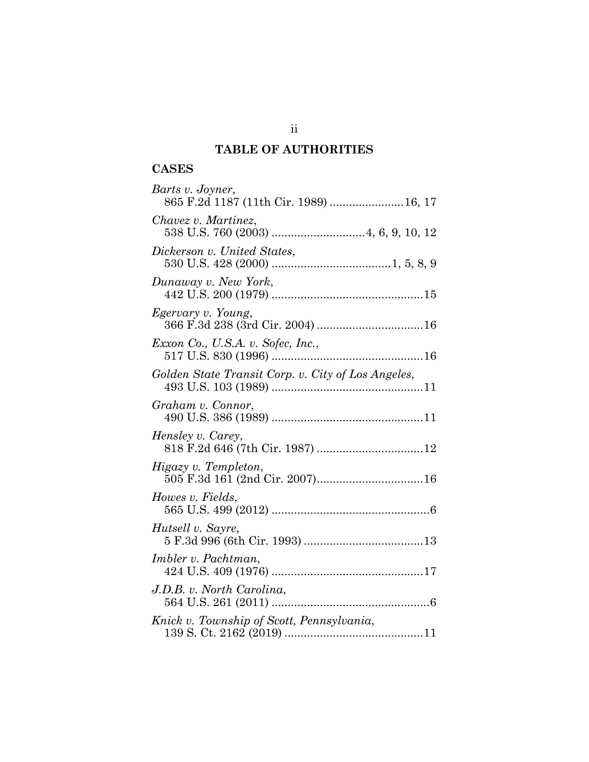# **TABLE OF AUTHORITIES**

# **CASES**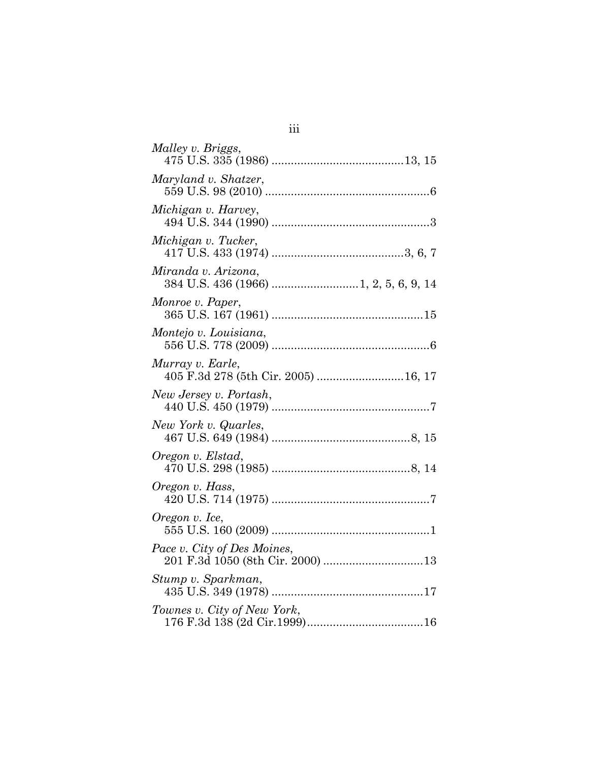| Malley v. Briggs,                                        |
|----------------------------------------------------------|
| Maryland v. Shatzer,                                     |
| Michigan v. Harvey,                                      |
| Michigan v. Tucker,                                      |
| Miranda v. Arizona,                                      |
| Monroe v. Paper,                                         |
| Montejo v. Louisiana,                                    |
| Murray v. Earle,<br>405 F.3d 278 (5th Cir. 2005)  16, 17 |
| New Jersey v. Portash,                                   |
| New York v. Quarles,                                     |
| Oregon v. Elstad,                                        |
| Oregon v. Hass,                                          |
| Oregon v. Ice,                                           |
| Pace v. City of Des Moines,                              |
| Stump v. Sparkman,                                       |
| Townes v. City of New York,                              |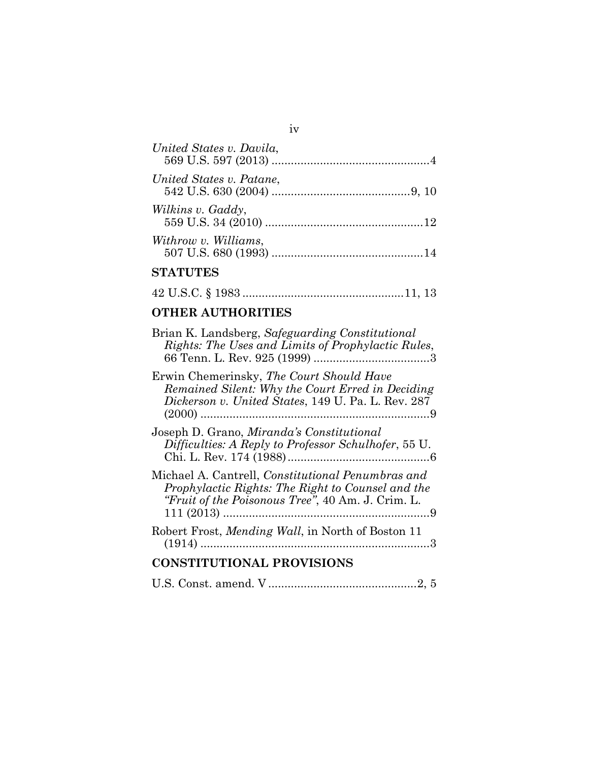| United States v. Davila, |  |
|--------------------------|--|
| United States v. Patane, |  |
| Wilkins v. Gaddy,        |  |
| Withrow v. Williams,     |  |

iv

# **STATUTES**

|--|--|--|--|--|--|--|--|

# **OTHER AUTHORITIES**

| Brian K. Landsberg, Safeguarding Constitutional<br>Rights: The Uses and Limits of Prophylactic Rules,                                                              |
|--------------------------------------------------------------------------------------------------------------------------------------------------------------------|
| Erwin Chemerinsky, The Court Should Have<br>Remained Silent: Why the Court Erred in Deciding<br>Dickerson v. United States, 149 U. Pa. L. Rev. 287                 |
| Joseph D. Grano, <i>Miranda's Constitutional</i><br>Difficulties: A Reply to Professor Schulhofer, 55 U.                                                           |
| Michael A. Cantrell, <i>Constitutional Penumbras and</i><br>Prophylactic Rights: The Right to Counsel and the<br>"Fruit of the Poisonous Tree", 40 Am. J. Crim. L. |
| Robert Frost, Mending Wall, in North of Boston 11                                                                                                                  |
| <b>CONSTITUTIONAL PROVISIONS</b>                                                                                                                                   |
|                                                                                                                                                                    |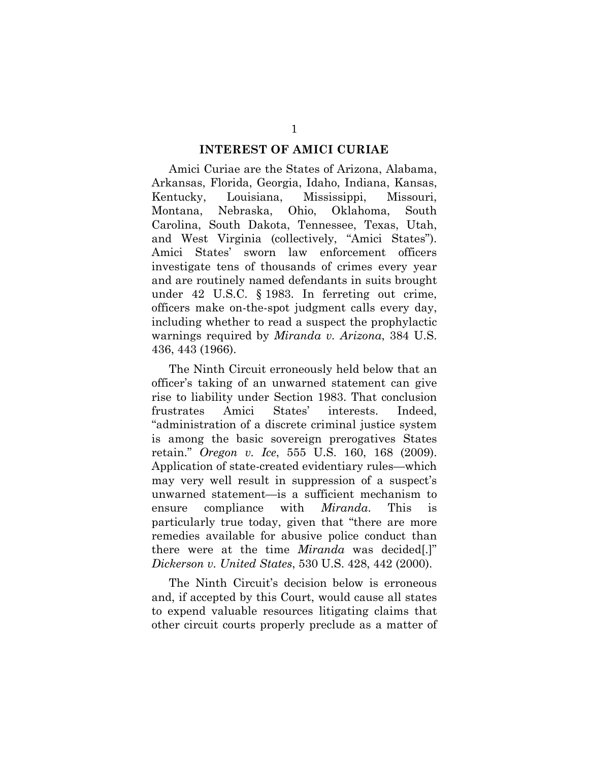#### **INTEREST OF AMICI CURIAE**

Amici Curiae are the States of Arizona, Alabama, Arkansas, Florida, Georgia, Idaho, Indiana, Kansas, Kentucky, Louisiana, Mississippi, Missouri, Montana, Nebraska, Ohio, Oklahoma, South Carolina, South Dakota, Tennessee, Texas, Utah, and West Virginia (collectively, "Amici States"). Amici States' sworn law enforcement officers investigate tens of thousands of crimes every year and are routinely named defendants in suits brought under 42 U.S.C. § 1983. In ferreting out crime, officers make on-the-spot judgment calls every day, including whether to read a suspect the prophylactic warnings required by *Miranda v. Arizona*, 384 U.S. 436, 443 (1966).

The Ninth Circuit erroneously held below that an officer's taking of an unwarned statement can give rise to liability under Section 1983. That conclusion frustrates Amici States' interests. Indeed, "administration of a discrete criminal justice system is among the basic sovereign prerogatives States retain." *Oregon v. Ice*, 555 U.S. 160, 168 (2009). Application of state-created evidentiary rules—which may very well result in suppression of a suspect's unwarned statement—is a sufficient mechanism to ensure compliance with *Miranda*. This is particularly true today, given that "there are more remedies available for abusive police conduct than there were at the time *Miranda* was decided[.]" *Dickerson v. United States*, 530 U.S. 428, 442 (2000).

The Ninth Circuit's decision below is erroneous and, if accepted by this Court, would cause all states to expend valuable resources litigating claims that other circuit courts properly preclude as a matter of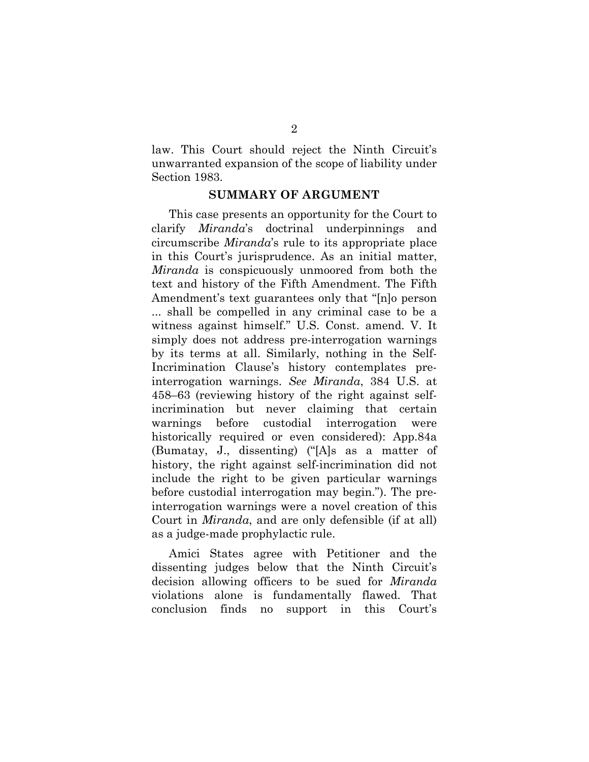law. This Court should reject the Ninth Circuit's unwarranted expansion of the scope of liability under Section 1983.

#### **SUMMARY OF ARGUMENT**

This case presents an opportunity for the Court to clarify *Miranda*'s doctrinal underpinnings and circumscribe *Miranda*'s rule to its appropriate place in this Court's jurisprudence. As an initial matter, *Miranda* is conspicuously unmoored from both the text and history of the Fifth Amendment. The Fifth Amendment's text guarantees only that "[n]o person ... shall be compelled in any criminal case to be a witness against himself." U.S. Const. amend. V. It simply does not address pre-interrogation warnings by its terms at all. Similarly, nothing in the Self-Incrimination Clause's history contemplates preinterrogation warnings. *See Miranda*, 384 U.S. at 458–63 (reviewing history of the right against selfincrimination but never claiming that certain warnings before custodial interrogation were historically required or even considered): App.84a (Bumatay, J., dissenting) ("[A]s as a matter of history, the right against self-incrimination did not include the right to be given particular warnings before custodial interrogation may begin."). The preinterrogation warnings were a novel creation of this Court in *Miranda*, and are only defensible (if at all) as a judge-made prophylactic rule.

Amici States agree with Petitioner and the dissenting judges below that the Ninth Circuit's decision allowing officers to be sued for *Miranda*  violations alone is fundamentally flawed. That conclusion finds no support in this Court's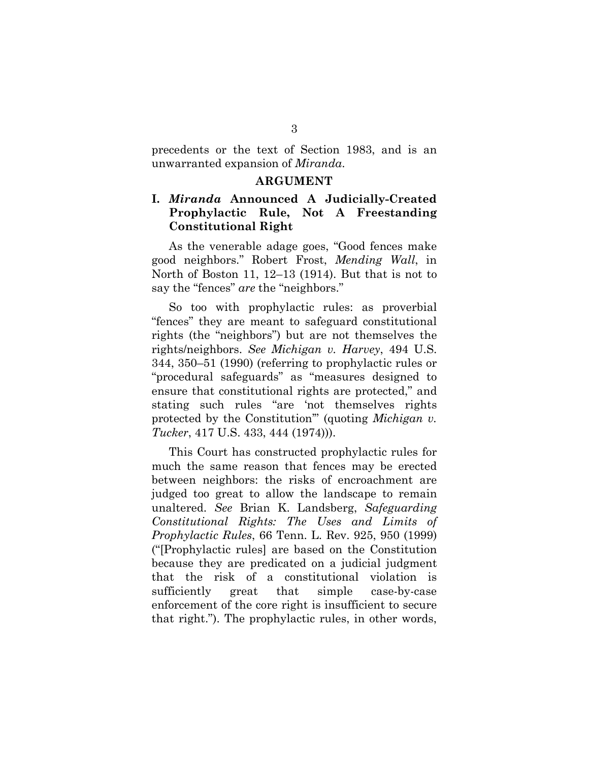precedents or the text of Section 1983, and is an unwarranted expansion of *Miranda*.

#### **ARGUMENT**

## **I.** *Miranda* **Announced A Judicially-Created Prophylactic Rule, Not A Freestanding Constitutional Right**

As the venerable adage goes, "Good fences make good neighbors." Robert Frost, *Mending Wall*, in North of Boston 11, 12–13 (1914). But that is not to say the "fences" *are* the "neighbors."

So too with prophylactic rules: as proverbial "fences" they are meant to safeguard constitutional rights (the "neighbors") but are not themselves the rights/neighbors. *See Michigan v. Harvey*, 494 U.S. 344, 350–51 (1990) (referring to prophylactic rules or "procedural safeguards" as "measures designed to ensure that constitutional rights are protected," and stating such rules "are 'not themselves rights protected by the Constitution'" (quoting *Michigan v. Tucker*, 417 U.S. 433, 444 (1974))).

This Court has constructed prophylactic rules for much the same reason that fences may be erected between neighbors: the risks of encroachment are judged too great to allow the landscape to remain unaltered. *See* Brian K. Landsberg, *Safeguarding Constitutional Rights: The Uses and Limits of Prophylactic Rules*, 66 Tenn. L. Rev. 925, 950 (1999) ("[Prophylactic rules] are based on the Constitution because they are predicated on a judicial judgment that the risk of a constitutional violation is sufficiently great that simple case-by-case enforcement of the core right is insufficient to secure that right."). The prophylactic rules, in other words,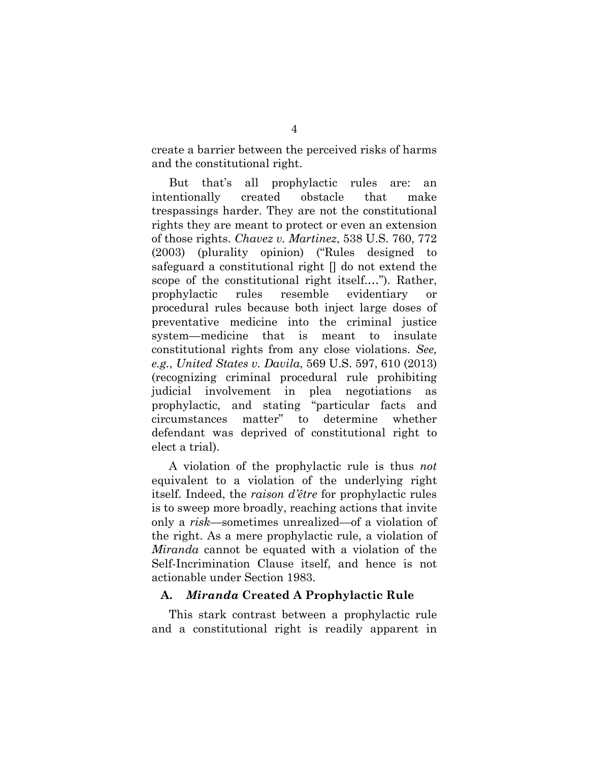create a barrier between the perceived risks of harms and the constitutional right.

But that's all prophylactic rules are: an intentionally created obstacle that make trespassings harder. They are not the constitutional rights they are meant to protect or even an extension of those rights. *Chavez v. Martinez*, 538 U.S. 760, 772 (2003) (plurality opinion) ("Rules designed to safeguard a constitutional right [] do not extend the scope of the constitutional right itself.…"). Rather, prophylactic rules resemble evidentiary or procedural rules because both inject large doses of preventative medicine into the criminal justice system—medicine that is meant to insulate constitutional rights from any close violations. *See, e.g.*, *United States v. Davila*, 569 U.S. 597, 610 (2013) (recognizing criminal procedural rule prohibiting judicial involvement in plea negotiations as prophylactic, and stating "particular facts and circumstances matter" to determine whether defendant was deprived of constitutional right to elect a trial).

A violation of the prophylactic rule is thus *not*  equivalent to a violation of the underlying right itself. Indeed, the *raison d'être* for prophylactic rules is to sweep more broadly, reaching actions that invite only a *risk*—sometimes unrealized—of a violation of the right. As a mere prophylactic rule, a violation of *Miranda* cannot be equated with a violation of the Self-Incrimination Clause itself, and hence is not actionable under Section 1983.

#### **A.** *Miranda* **Created A Prophylactic Rule**

This stark contrast between a prophylactic rule and a constitutional right is readily apparent in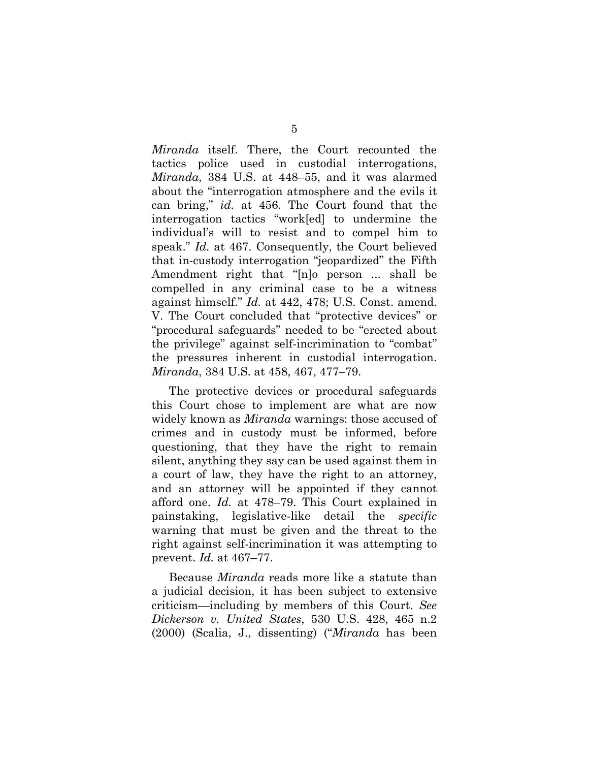*Miranda* itself. There, the Court recounted the tactics police used in custodial interrogations, *Miranda*, 384 U.S. at 448–55, and it was alarmed about the "interrogation atmosphere and the evils it can bring," *id.* at 456. The Court found that the interrogation tactics "work[ed] to undermine the individual's will to resist and to compel him to speak." *Id.* at 467. Consequently, the Court believed that in-custody interrogation "jeopardized" the Fifth Amendment right that "[n]o person ... shall be compelled in any criminal case to be a witness against himself." *Id.* at 442, 478; U.S. Const. amend. V. The Court concluded that "protective devices" or "procedural safeguards" needed to be "erected about the privilege" against self-incrimination to "combat" the pressures inherent in custodial interrogation. *Miranda*, 384 U.S. at 458, 467, 477–79.

The protective devices or procedural safeguards this Court chose to implement are what are now widely known as *Miranda* warnings: those accused of crimes and in custody must be informed, before questioning, that they have the right to remain silent, anything they say can be used against them in a court of law, they have the right to an attorney, and an attorney will be appointed if they cannot afford one. *Id.* at 478–79. This Court explained in painstaking, legislative-like detail the *specific* warning that must be given and the threat to the right against self-incrimination it was attempting to prevent. *Id.* at 467–77.

Because *Miranda* reads more like a statute than a judicial decision, it has been subject to extensive criticism—including by members of this Court. *See Dickerson v. United States*, 530 U.S. 428, 465 n.2 (2000) (Scalia, J., dissenting) ("*Miranda* has been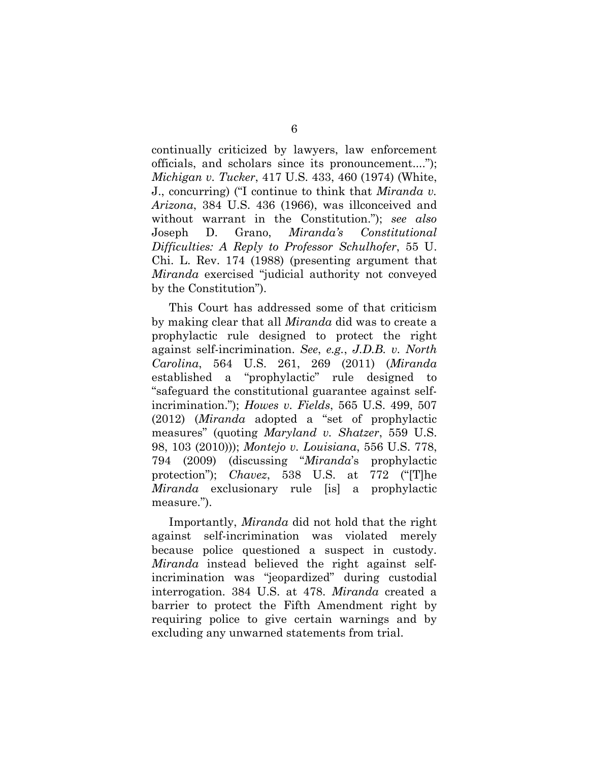continually criticized by lawyers, law enforcement officials, and scholars since its pronouncement...."); *Michigan v. Tucker*, 417 U.S. 433, 460 (1974) (White, J., concurring) ("I continue to think that *Miranda v. Arizona*, 384 U.S. 436 (1966), was illconceived and without warrant in the Constitution."); *see also*  Joseph D. Grano, *Miranda's Constitutional Difficulties: A Reply to Professor Schulhofer*, 55 U. Chi. L. Rev. 174 (1988) (presenting argument that *Miranda* exercised "judicial authority not conveyed by the Constitution").

This Court has addressed some of that criticism by making clear that all *Miranda* did was to create a prophylactic rule designed to protect the right against self-incrimination. *See*, *e.g.*, *J.D.B. v. North Carolina*, 564 U.S. 261, 269 (2011) (*Miranda*  established a "prophylactic" rule designed to "safeguard the constitutional guarantee against selfincrimination."); *Howes v. Fields*, 565 U.S. 499, 507 (2012) (*Miranda* adopted a "set of prophylactic measures" (quoting *Maryland v. Shatzer*, 559 U.S. 98, 103 (2010))); *Montejo v. Louisiana*, 556 U.S. 778, 794 (2009) (discussing "*Miranda*'s prophylactic protection"); *Chavez*, 538 U.S. at 772 ("[T]he *Miranda* exclusionary rule [is] a prophylactic measure.").

Importantly, *Miranda* did not hold that the right against self-incrimination was violated merely because police questioned a suspect in custody. *Miranda* instead believed the right against selfincrimination was "jeopardized" during custodial interrogation. 384 U.S. at 478. *Miranda* created a barrier to protect the Fifth Amendment right by requiring police to give certain warnings and by excluding any unwarned statements from trial.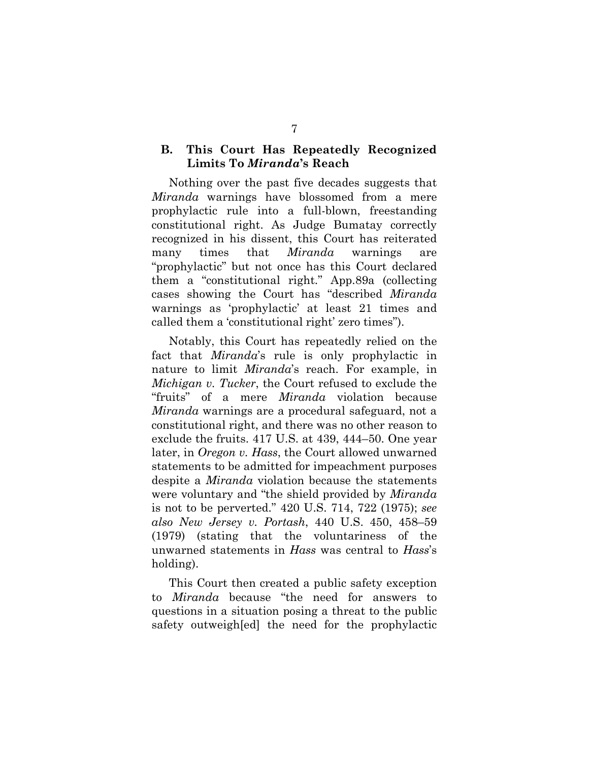## **B. This Court Has Repeatedly Recognized Limits To** *Miranda***'s Reach**

Nothing over the past five decades suggests that *Miranda* warnings have blossomed from a mere prophylactic rule into a full-blown, freestanding constitutional right. As Judge Bumatay correctly recognized in his dissent, this Court has reiterated many times that *Miranda* warnings are "prophylactic" but not once has this Court declared them a "constitutional right." App.89a (collecting cases showing the Court has "described *Miranda* warnings as 'prophylactic' at least 21 times and called them a 'constitutional right' zero times").

Notably, this Court has repeatedly relied on the fact that *Miranda*'s rule is only prophylactic in nature to limit *Miranda*'s reach. For example, in *Michigan v. Tucker*, the Court refused to exclude the "fruits" of a mere *Miranda* violation because *Miranda* warnings are a procedural safeguard, not a constitutional right, and there was no other reason to exclude the fruits. 417 U.S. at 439, 444–50. One year later, in *Oregon v. Hass*, the Court allowed unwarned statements to be admitted for impeachment purposes despite a *Miranda* violation because the statements were voluntary and "the shield provided by *Miranda* is not to be perverted." 420 U.S. 714, 722 (1975); *see also New Jersey v. Portash*, 440 U.S. 450, 458–59 (1979) (stating that the voluntariness of the unwarned statements in *Hass* was central to *Hass*'s holding).

This Court then created a public safety exception to *Miranda* because "the need for answers to questions in a situation posing a threat to the public safety outweigh[ed] the need for the prophylactic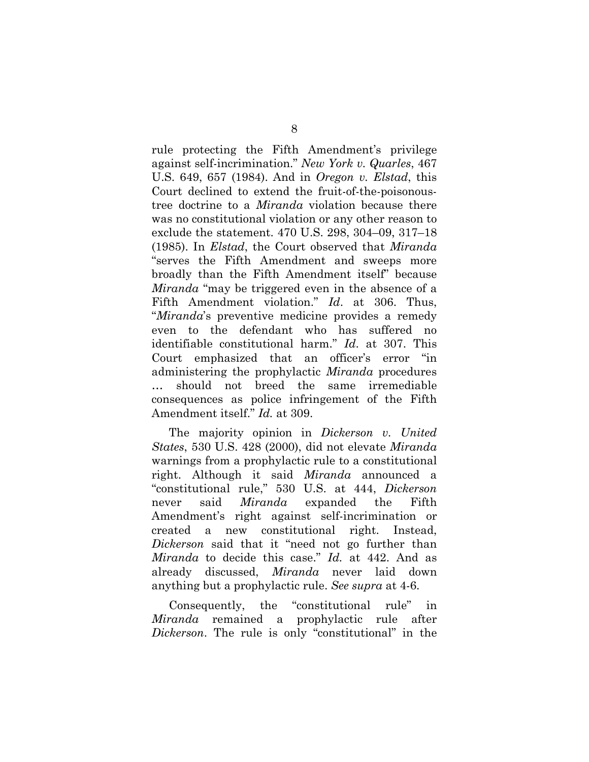rule protecting the Fifth Amendment's privilege against self-incrimination." *New York v. Quarles*, 467 U.S. 649, 657 (1984). And in *Oregon v. Elstad*, this Court declined to extend the fruit-of-the-poisonoustree doctrine to a *Miranda* violation because there was no constitutional violation or any other reason to exclude the statement. 470 U.S. 298, 304–09, 317–18 (1985). In *Elstad*, the Court observed that *Miranda* "serves the Fifth Amendment and sweeps more broadly than the Fifth Amendment itself" because *Miranda* "may be triggered even in the absence of a Fifth Amendment violation." *Id*. at 306. Thus, "*Miranda*'s preventive medicine provides a remedy even to the defendant who has suffered no identifiable constitutional harm." *Id*. at 307. This Court emphasized that an officer's error "in administering the prophylactic *Miranda* procedures … should not breed the same irremediable consequences as police infringement of the Fifth Amendment itself." *Id.* at 309.

The majority opinion in *Dickerson v. United States*, 530 U.S. 428 (2000), did not elevate *Miranda* warnings from a prophylactic rule to a constitutional right. Although it said *Miranda* announced a "constitutional rule," 530 U.S. at 444, *Dickerson* never said *Miranda* expanded the Fifth Amendment's right against self-incrimination or created a new constitutional right. Instead, *Dickerson* said that it "need not go further than *Miranda* to decide this case." *Id.* at 442. And as already discussed, *Miranda* never laid down anything but a prophylactic rule. *See supra* at 4-6.

Consequently, the "constitutional rule" in *Miranda* remained a prophylactic rule after *Dickerson*. The rule is only "constitutional" in the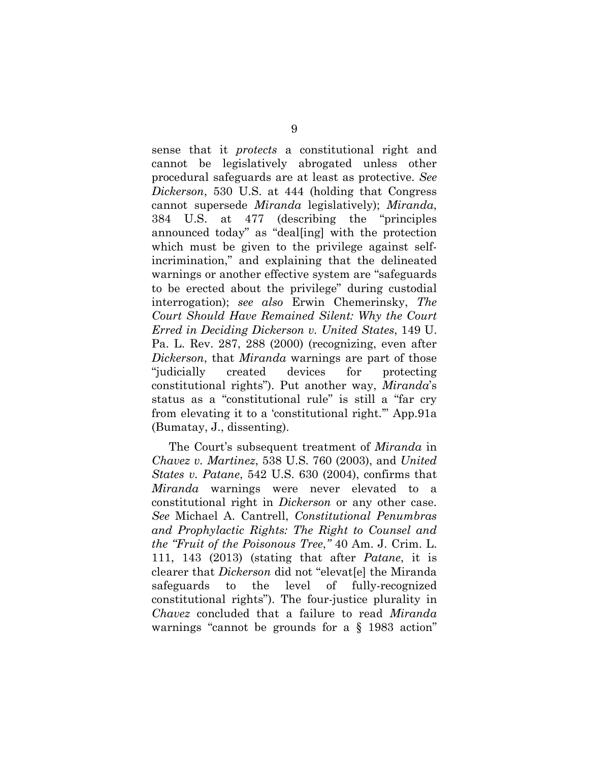sense that it *protects* a constitutional right and cannot be legislatively abrogated unless other procedural safeguards are at least as protective. *See Dickerson*, 530 U.S. at 444 (holding that Congress cannot supersede *Miranda* legislatively); *Miranda*, 384 U.S. at 477 (describing the "principles announced today" as "deal[ing] with the protection which must be given to the privilege against selfincrimination," and explaining that the delineated warnings or another effective system are "safeguards to be erected about the privilege" during custodial interrogation); *see also* Erwin Chemerinsky, *The Court Should Have Remained Silent: Why the Court Erred in Deciding Dickerson v. United States*, 149 U. Pa. L. Rev. 287, 288 (2000) (recognizing, even after *Dickerson*, that *Miranda* warnings are part of those "judicially created devices for protecting constitutional rights"). Put another way, *Miranda*'s status as a "constitutional rule" is still a "far cry from elevating it to a 'constitutional right.'" App.91a (Bumatay, J., dissenting).

The Court's subsequent treatment of *Miranda* in *Chavez v. Martinez*, 538 U.S. 760 (2003), and *United States v. Patane*, 542 U.S. 630 (2004), confirms that *Miranda* warnings were never elevated to a constitutional right in *Dickerson* or any other case. *See* Michael A. Cantrell, *Constitutional Penumbras and Prophylactic Rights: The Right to Counsel and the "Fruit of the Poisonous Tree*,*"* 40 Am. J. Crim. L. 111, 143 (2013) (stating that after *Patane*, it is clearer that *Dickerson* did not "elevat[e] the Miranda safeguards to the level of fully-recognized constitutional rights"). The four-justice plurality in *Chavez* concluded that a failure to read *Miranda* warnings "cannot be grounds for a § 1983 action"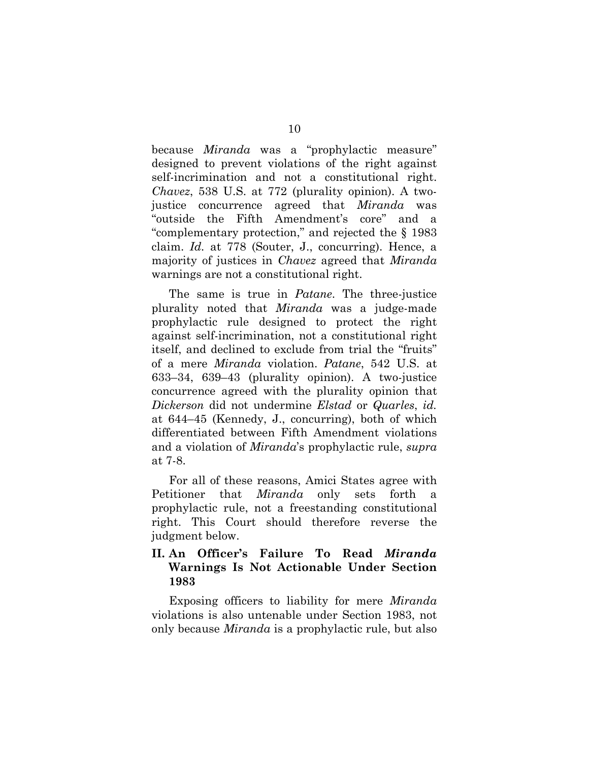because *Miranda* was a "prophylactic measure" designed to prevent violations of the right against self-incrimination and not a constitutional right. *Chavez*, 538 U.S. at 772 (plurality opinion). A twojustice concurrence agreed that *Miranda* was "outside the Fifth Amendment's core" and a "complementary protection," and rejected the § 1983 claim. *Id.* at 778 (Souter, J., concurring). Hence, a majority of justices in *Chavez* agreed that *Miranda* warnings are not a constitutional right.

The same is true in *Patane*. The three-justice plurality noted that *Miranda* was a judge-made prophylactic rule designed to protect the right against self-incrimination, not a constitutional right itself, and declined to exclude from trial the "fruits" of a mere *Miranda* violation. *Patane*, 542 U.S. at 633–34, 639–43 (plurality opinion). A two-justice concurrence agreed with the plurality opinion that *Dickerson* did not undermine *Elstad* or *Quarles*, *id.* at 644–45 (Kennedy, J., concurring), both of which differentiated between Fifth Amendment violations and a violation of *Miranda*'s prophylactic rule, *supra* at 7-8.

For all of these reasons, Amici States agree with Petitioner that *Miranda* only sets forth a prophylactic rule, not a freestanding constitutional right. This Court should therefore reverse the judgment below.

### **II. An Officer's Failure To Read** *Miranda* **Warnings Is Not Actionable Under Section 1983**

Exposing officers to liability for mere *Miranda*  violations is also untenable under Section 1983, not only because *Miranda* is a prophylactic rule, but also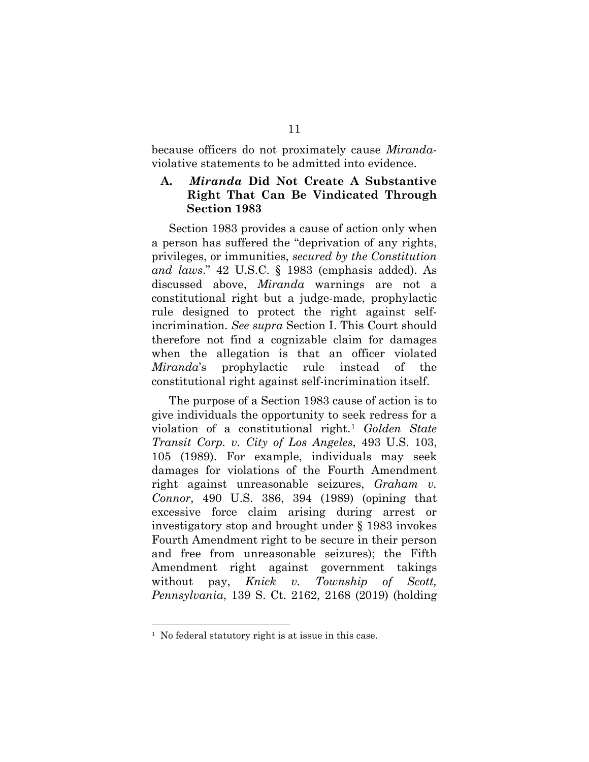because officers do not proximately cause *Miranda*violative statements to be admitted into evidence.

## **A.** *Miranda* **Did Not Create A Substantive Right That Can Be Vindicated Through Section 1983**

Section 1983 provides a cause of action only when a person has suffered the "deprivation of any rights, privileges, or immunities, *secured by the Constitution and laws*." 42 U.S.C. § 1983 (emphasis added). As discussed above, *Miranda* warnings are not a constitutional right but a judge-made, prophylactic rule designed to protect the right against selfincrimination. *See supra* Section I. This Court should therefore not find a cognizable claim for damages when the allegation is that an officer violated *Miranda*'s prophylactic rule instead of the constitutional right against self-incrimination itself.

The purpose of a Section 1983 cause of action is to give individuals the opportunity to seek redress for a violation of a constitutional right.[1](#page-16-0) *Golden State Transit Corp. v. City of Los Angeles*, 493 U.S. 103, 105 (1989). For example, individuals may seek damages for violations of the Fourth Amendment right against unreasonable seizures, *Graham v. Connor*, 490 U.S. 386, 394 (1989) (opining that excessive force claim arising during arrest or investigatory stop and brought under § 1983 invokes Fourth Amendment right to be secure in their person and free from unreasonable seizures); the Fifth Amendment right against government takings without pay, *Knick v. Township of Scott, Pennsylvania*, 139 S. Ct. 2162, 2168 (2019) (holding

<span id="page-16-0"></span><sup>&</sup>lt;sup>1</sup> No federal statutory right is at issue in this case.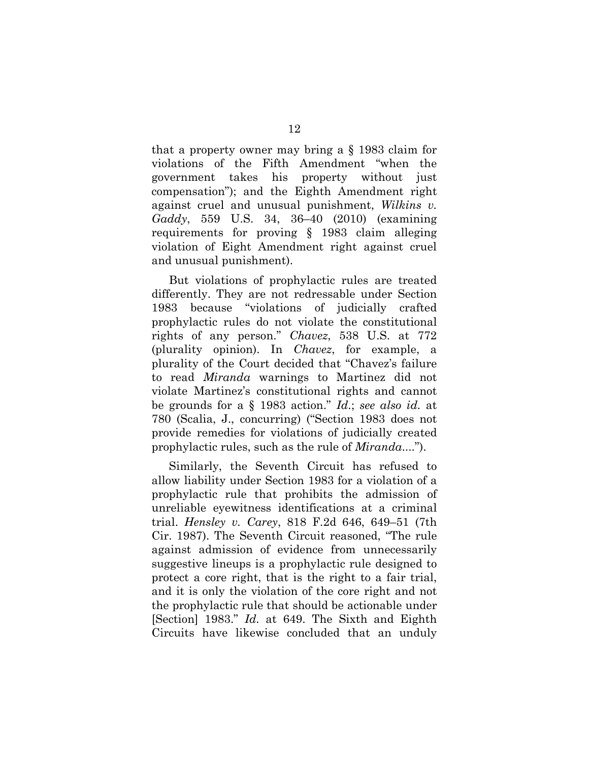that a property owner may bring a § 1983 claim for violations of the Fifth Amendment "when the government takes his property without just compensation"); and the Eighth Amendment right against cruel and unusual punishment, *Wilkins v. Gaddy*, 559 U.S. 34, 36–40 (2010) (examining requirements for proving § 1983 claim alleging violation of Eight Amendment right against cruel and unusual punishment).

But violations of prophylactic rules are treated differently. They are not redressable under Section 1983 because "violations of judicially crafted prophylactic rules do not violate the constitutional rights of any person." *Chavez*, 538 U.S. at 772 (plurality opinion). In *Chavez*, for example, a plurality of the Court decided that "Chavez's failure to read *Miranda* warnings to Martinez did not violate Martinez's constitutional rights and cannot be grounds for a § 1983 action." *Id*.; *see also id.* at 780 (Scalia, J., concurring) ("Section 1983 does not provide remedies for violations of judicially created prophylactic rules, such as the rule of *Miranda*....").

Similarly, the Seventh Circuit has refused to allow liability under Section 1983 for a violation of a prophylactic rule that prohibits the admission of unreliable eyewitness identifications at a criminal trial. *Hensley v. Carey*, 818 F.2d 646, 649–51 (7th Cir. 1987). The Seventh Circuit reasoned, "The rule against admission of evidence from unnecessarily suggestive lineups is a prophylactic rule designed to protect a core right, that is the right to a fair trial, and it is only the violation of the core right and not the prophylactic rule that should be actionable under [Section] 1983." *Id.* at 649. The Sixth and Eighth Circuits have likewise concluded that an unduly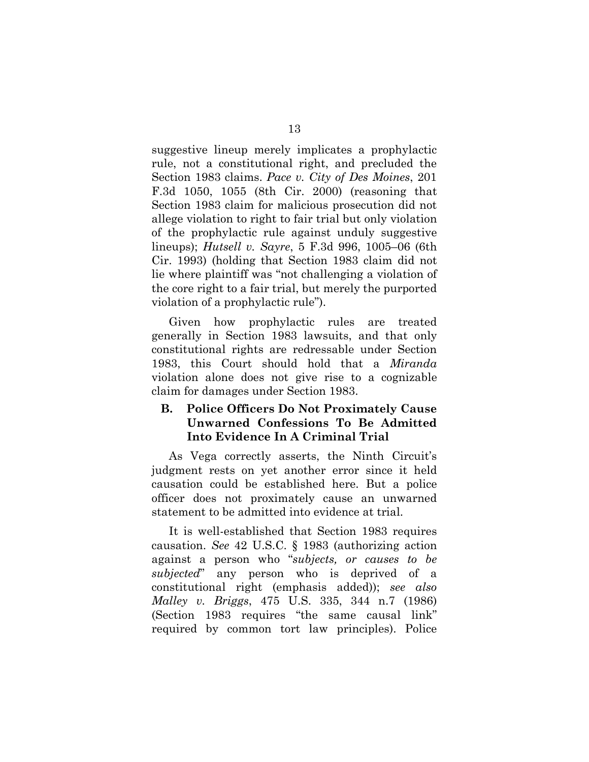suggestive lineup merely implicates a prophylactic rule, not a constitutional right, and precluded the Section 1983 claims. *Pace v. City of Des Moines*, 201 F.3d 1050, 1055 (8th Cir. 2000) (reasoning that Section 1983 claim for malicious prosecution did not allege violation to right to fair trial but only violation of the prophylactic rule against unduly suggestive lineups); *Hutsell v. Sayre*, 5 F.3d 996, 1005–06 (6th Cir. 1993) (holding that Section 1983 claim did not lie where plaintiff was "not challenging a violation of the core right to a fair trial, but merely the purported violation of a prophylactic rule").

Given how prophylactic rules are treated generally in Section 1983 lawsuits, and that only constitutional rights are redressable under Section 1983, this Court should hold that a *Miranda*  violation alone does not give rise to a cognizable claim for damages under Section 1983.

## **B. Police Officers Do Not Proximately Cause Unwarned Confessions To Be Admitted Into Evidence In A Criminal Trial**

As Vega correctly asserts, the Ninth Circuit's judgment rests on yet another error since it held causation could be established here. But a police officer does not proximately cause an unwarned statement to be admitted into evidence at trial.

It is well-established that Section 1983 requires causation. *See* 42 U.S.C. § 1983 (authorizing action against a person who "*subjects, or causes to be subjected*" any person who is deprived of a constitutional right (emphasis added)); *see also Malley v. Briggs*, 475 U.S. 335, 344 n.7 (1986) (Section 1983 requires "the same causal link" required by common tort law principles). Police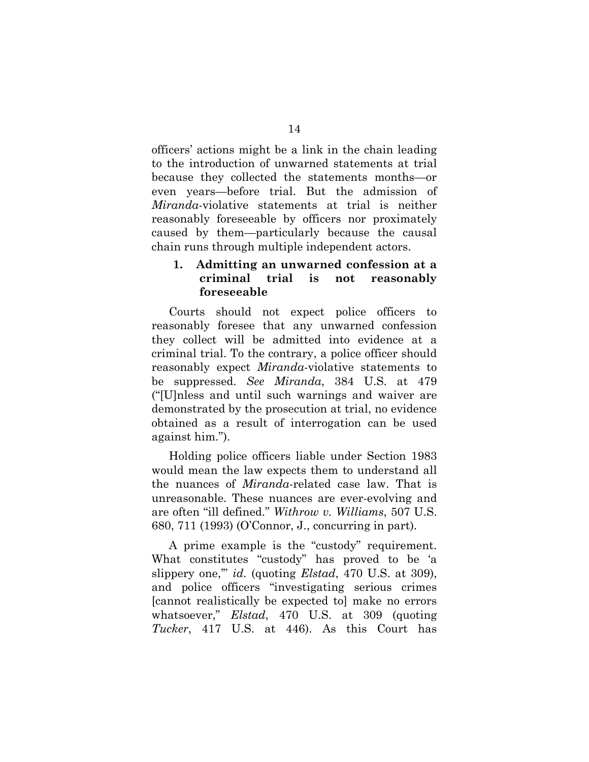officers' actions might be a link in the chain leading to the introduction of unwarned statements at trial because they collected the statements months—or even years—before trial. But the admission of *Miranda*-violative statements at trial is neither reasonably foreseeable by officers nor proximately caused by them—particularly because the causal chain runs through multiple independent actors.

### **1. Admitting an unwarned confession at a criminal trial is not reasonably foreseeable**

Courts should not expect police officers to reasonably foresee that any unwarned confession they collect will be admitted into evidence at a criminal trial. To the contrary, a police officer should reasonably expect *Miranda*-violative statements to be suppressed. *See Miranda*, 384 U.S. at 479 ("[U]nless and until such warnings and waiver are demonstrated by the prosecution at trial, no evidence obtained as a result of interrogation can be used against him.").

Holding police officers liable under Section 1983 would mean the law expects them to understand all the nuances of *Miranda*-related case law. That is unreasonable. These nuances are ever-evolving and are often "ill defined." *Withrow v. Williams*, 507 U.S. 680, 711 (1993) (O'Connor, J., concurring in part).

A prime example is the "custody" requirement. What constitutes "custody" has proved to be 'a slippery one,'" *id.* (quoting *Elstad*, 470 U.S. at 309), and police officers "investigating serious crimes [cannot realistically be expected to] make no errors whatsoever," *Elstad*, 470 U.S. at 309 (quoting *Tucker*, 417 U.S. at 446). As this Court has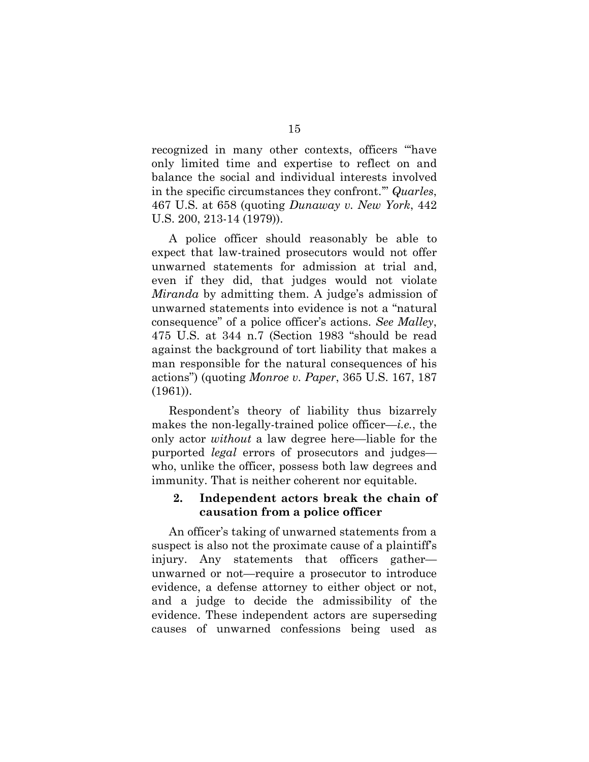recognized in many other contexts, officers "'have only limited time and expertise to reflect on and balance the social and individual interests involved in the specific circumstances they confront.'" *Quarles*, 467 U.S. at 658 (quoting *Dunaway v. New York*, 442 U.S. 200, 213-14 (1979)).

A police officer should reasonably be able to expect that law-trained prosecutors would not offer unwarned statements for admission at trial and, even if they did, that judges would not violate *Miranda* by admitting them. A judge's admission of unwarned statements into evidence is not a "natural consequence" of a police officer's actions. *See Malley*, 475 U.S. at 344 n.7 (Section 1983 "should be read against the background of tort liability that makes a man responsible for the natural consequences of his actions") (quoting *Monroe v. Paper*, 365 U.S. 167, 187 (1961)).

Respondent's theory of liability thus bizarrely makes the non-legally-trained police officer—*i.e.*, the only actor *without* a law degree here—liable for the purported *legal* errors of prosecutors and judges who, unlike the officer, possess both law degrees and immunity. That is neither coherent nor equitable.

### **2. Independent actors break the chain of causation from a police officer**

An officer's taking of unwarned statements from a suspect is also not the proximate cause of a plaintiff's injury. Any statements that officers gather unwarned or not—require a prosecutor to introduce evidence, a defense attorney to either object or not, and a judge to decide the admissibility of the evidence. These independent actors are superseding causes of unwarned confessions being used as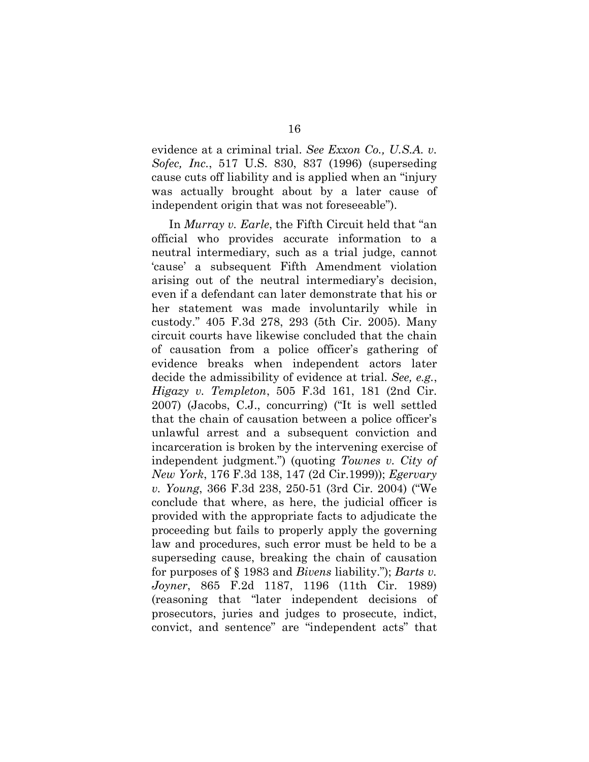evidence at a criminal trial. *See Exxon Co., U.S.A. v. Sofec, Inc.*, 517 U.S. 830, 837 (1996) (superseding cause cuts off liability and is applied when an "injury was actually brought about by a later cause of independent origin that was not foreseeable").

In *Murray v. Earle*, the Fifth Circuit held that "an official who provides accurate information to a neutral intermediary, such as a trial judge, cannot 'cause' a subsequent Fifth Amendment violation arising out of the neutral intermediary's decision, even if a defendant can later demonstrate that his or her statement was made involuntarily while in custody." 405 F.3d 278, 293 (5th Cir. 2005). Many circuit courts have likewise concluded that the chain of causation from a police officer's gathering of evidence breaks when independent actors later decide the admissibility of evidence at trial. *See, e.g.*, *Higazy v. Templeton*, 505 F.3d 161, 181 (2nd Cir. 2007) (Jacobs, C.J., concurring) ("It is well settled that the chain of causation between a police officer's unlawful arrest and a subsequent conviction and incarceration is broken by the intervening exercise of independent judgment.") (quoting *Townes v. City of New York*, 176 F.3d 138, 147 (2d Cir.1999)); *Egervary v. Young*, 366 F.3d 238, 250-51 (3rd Cir. 2004) ("We conclude that where, as here, the judicial officer is provided with the appropriate facts to adjudicate the proceeding but fails to properly apply the governing law and procedures, such error must be held to be a superseding cause, breaking the chain of causation for purposes of § 1983 and *Bivens* liability."); *Barts v. Joyner*, 865 F.2d 1187, 1196 (11th Cir. 1989) (reasoning that "later independent decisions of prosecutors, juries and judges to prosecute, indict, convict, and sentence" are "independent acts" that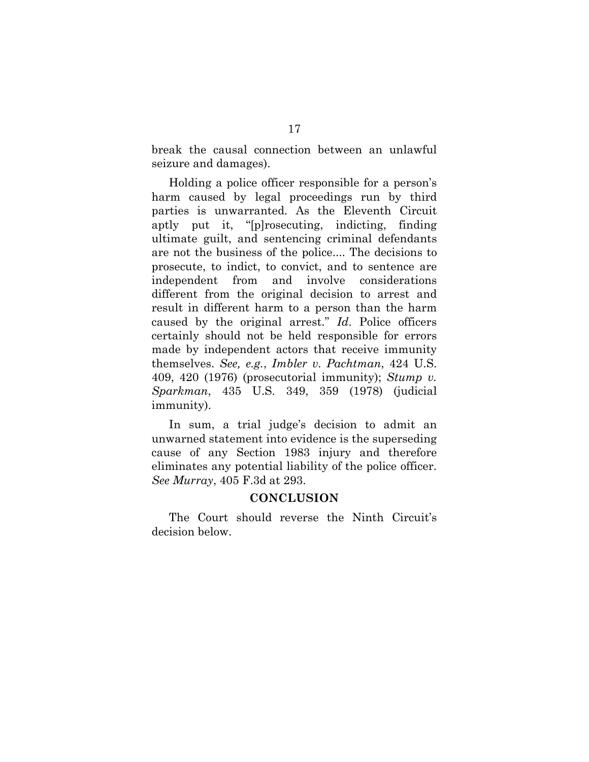break the causal connection between an unlawful seizure and damages).

Holding a police officer responsible for a person's harm caused by legal proceedings run by third parties is unwarranted. As the Eleventh Circuit aptly put it, "[p]rosecuting, indicting, finding ultimate guilt, and sentencing criminal defendants are not the business of the police.... The decisions to prosecute, to indict, to convict, and to sentence are independent from and involve considerations different from the original decision to arrest and result in different harm to a person than the harm caused by the original arrest." *Id*. Police officers certainly should not be held responsible for errors made by independent actors that receive immunity themselves. *See, e.g.*, *Imbler v. Pachtman*, 424 U.S. 409, 420 (1976) (prosecutorial immunity); *Stump v. Sparkman*, 435 U.S. 349, 359 (1978) (judicial immunity).

In sum, a trial judge's decision to admit an unwarned statement into evidence is the superseding cause of any Section 1983 injury and therefore eliminates any potential liability of the police officer. *See Murray*, 405 F.3d at 293.

### **CONCLUSION**

The Court should reverse the Ninth Circuit's decision below.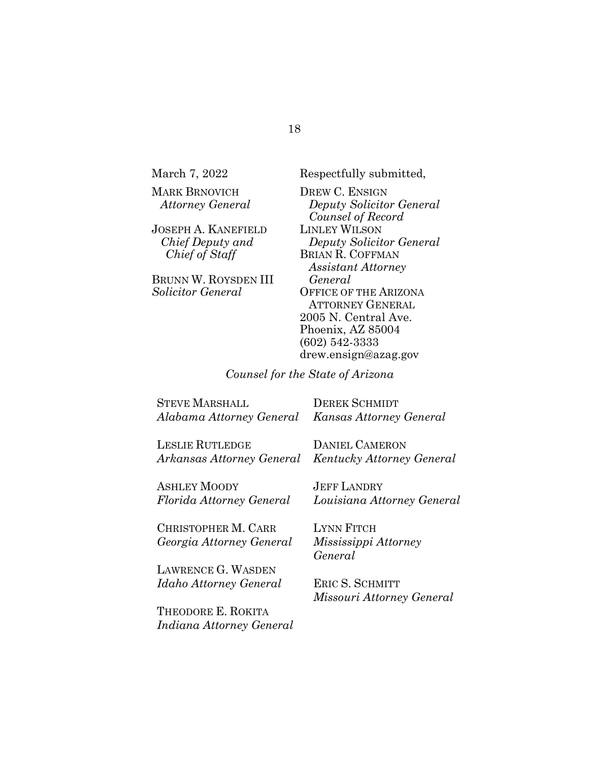| March 7, 2022           |  |
|-------------------------|--|
| <b>MARK BRNOVICH</b>    |  |
| <b>Attorney General</b> |  |
|                         |  |

JOSEPH A. KANEFIELD *Chief Deputy and Chief of Staff*

BRUNN W. ROYSDEN III *Solicitor General*

March 7, 2022 Respectfully submitted,

DREW C. ENSIGN *Deputy Solicitor General Counsel of Record* LINLEY WILSON *Deputy Solicitor General* BRIAN R. COFFMAN *Assistant Attorney General* OFFICE OF THE ARIZONA ATTORNEY GENERAL 2005 N. Central Ave. Phoenix, AZ 85004 (602) 542-3333 drew.ensign@azag.gov

*Counsel for the State of Arizona*

| STEVE MARSHALL                                   | <b>DEREK SCHMIDT</b> |
|--------------------------------------------------|----------------------|
| Alabama Attorney General Kansas Attorney General |                      |
|                                                  |                      |

LESLIE RUTLEDGE *Arkansas Attorney General* DANIEL CAMERON *Kentucky Attorney General*

ASHLEY MOODY *Florida Attorney General* JEFF LANDRY *Louisiana Attorney General*

CHRISTOPHER M. CARR *Georgia Attorney General* LYNN FITCH *Mississippi Attorney General*

LAWRENCE G. WASDEN *Idaho Attorney General*

ERIC S. SCHMITT *Missouri Attorney General*

THEODORE E. ROKITA *Indiana Attorney General*